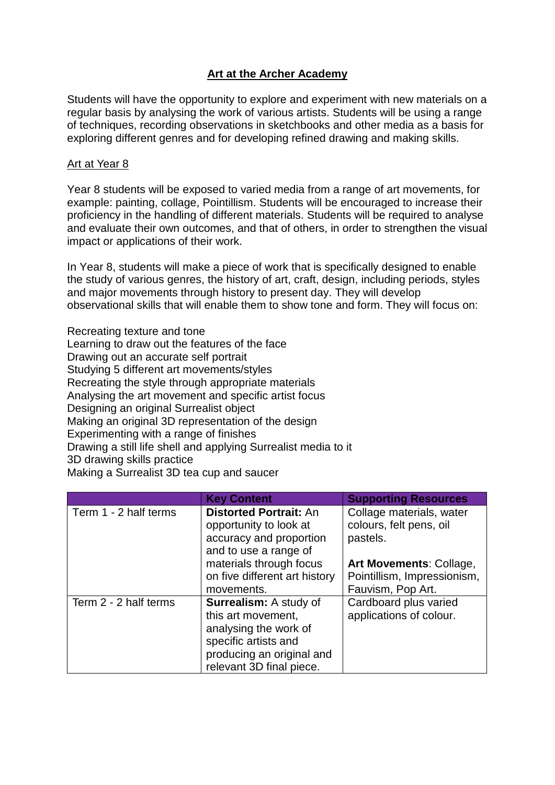## **Art at the Archer Academy**

Students will have the opportunity to explore and experiment with new materials on a regular basis by analysing the work of various artists. Students will be using a range of techniques, recording observations in sketchbooks and other media as a basis for exploring different genres and for developing refined drawing and making skills.

#### Art at Year 8

Year 8 students will be exposed to varied media from a range of art movements, for example: painting, collage, Pointillism. Students will be encouraged to increase their proficiency in the handling of different materials. Students will be required to analyse and evaluate their own outcomes, and that of others, in order to strengthen the visual impact or applications of their work.

In Year 8, students will make a piece of work that is specifically designed to enable the study of various genres, the history of art, craft, design, including periods, styles and major movements through history to present day. They will develop observational skills that will enable them to show tone and form. They will focus on:

Recreating texture and tone Learning to draw out the features of the face Drawing out an accurate self portrait Studying 5 different art movements/styles Recreating the style through appropriate materials Analysing the art movement and specific artist focus Designing an original Surrealist object Making an original 3D representation of the design Experimenting with a range of finishes Drawing a still life shell and applying Surrealist media to it 3D drawing skills practice

Making a Surrealist 3D tea cup and saucer

|                       | <b>Key Content</b>            | <b>Supporting Resources</b> |
|-----------------------|-------------------------------|-----------------------------|
| Term 1 - 2 half terms | <b>Distorted Portrait: An</b> | Collage materials, water    |
|                       | opportunity to look at        | colours, felt pens, oil     |
|                       | accuracy and proportion       | pastels.                    |
|                       | and to use a range of         |                             |
|                       | materials through focus       | Art Movements: Collage,     |
|                       | on five different art history | Pointillism, Impressionism, |
|                       | movements.                    | Fauvism, Pop Art.           |
| Term 2 - 2 half terms | <b>Surrealism: A study of</b> | Cardboard plus varied       |
|                       | this art movement,            | applications of colour.     |
|                       | analysing the work of         |                             |
|                       | specific artists and          |                             |
|                       | producing an original and     |                             |
|                       | relevant 3D final piece.      |                             |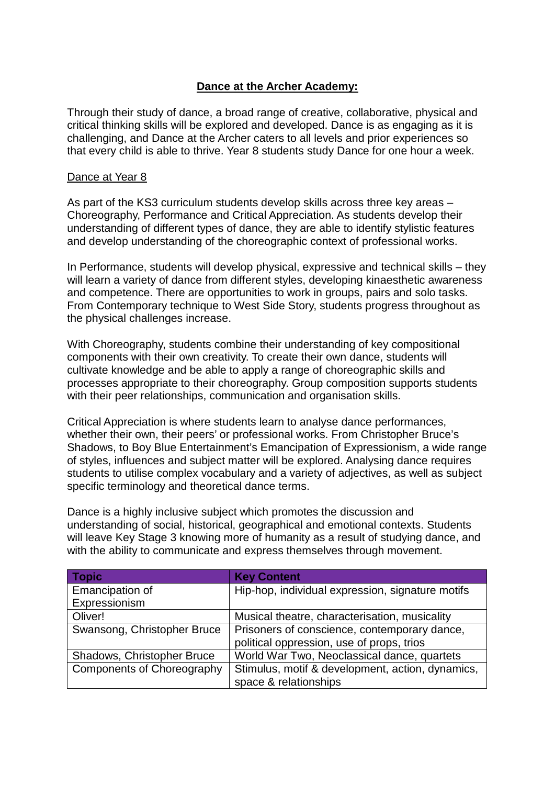## **Dance at the Archer Academy:**

Through their study of dance, a broad range of creative, collaborative, physical and critical thinking skills will be explored and developed. Dance is as engaging as it is challenging, and Dance at the Archer caters to all levels and prior experiences so that every child is able to thrive. Year 8 students study Dance for one hour a week.

#### Dance at Year 8

As part of the KS3 curriculum students develop skills across three key areas – Choreography, Performance and Critical Appreciation. As students develop their understanding of different types of dance, they are able to identify stylistic features and develop understanding of the choreographic context of professional works.

In Performance, students will develop physical, expressive and technical skills – they will learn a variety of dance from different styles, developing kinaesthetic awareness and competence. There are opportunities to work in groups, pairs and solo tasks. From Contemporary technique to West Side Story, students progress throughout as the physical challenges increase.

With Choreography, students combine their understanding of key compositional components with their own creativity. To create their own dance, students will cultivate knowledge and be able to apply a range of choreographic skills and processes appropriate to their choreography. Group composition supports students with their peer relationships, communication and organisation skills.

Critical Appreciation is where students learn to analyse dance performances, whether their own, their peers' or professional works. From Christopher Bruce's Shadows, to Boy Blue Entertainment's Emancipation of Expressionism, a wide range of styles, influences and subject matter will be explored. Analysing dance requires students to utilise complex vocabulary and a variety of adjectives, as well as subject specific terminology and theoretical dance terms.

Dance is a highly inclusive subject which promotes the discussion and understanding of social, historical, geographical and emotional contexts. Students will leave Key Stage 3 knowing more of humanity as a result of studying dance, and with the ability to communicate and express themselves through movement.

| <b>Topic</b>                | <b>Key Content</b>                               |  |
|-----------------------------|--------------------------------------------------|--|
| Emancipation of             | Hip-hop, individual expression, signature motifs |  |
| Expressionism               |                                                  |  |
| Oliver!                     | Musical theatre, characterisation, musicality    |  |
| Swansong, Christopher Bruce | Prisoners of conscience, contemporary dance,     |  |
|                             | political oppression, use of props, trios        |  |
| Shadows, Christopher Bruce  | World War Two, Neoclassical dance, quartets      |  |
| Components of Choreography  | Stimulus, motif & development, action, dynamics, |  |
|                             | space & relationships                            |  |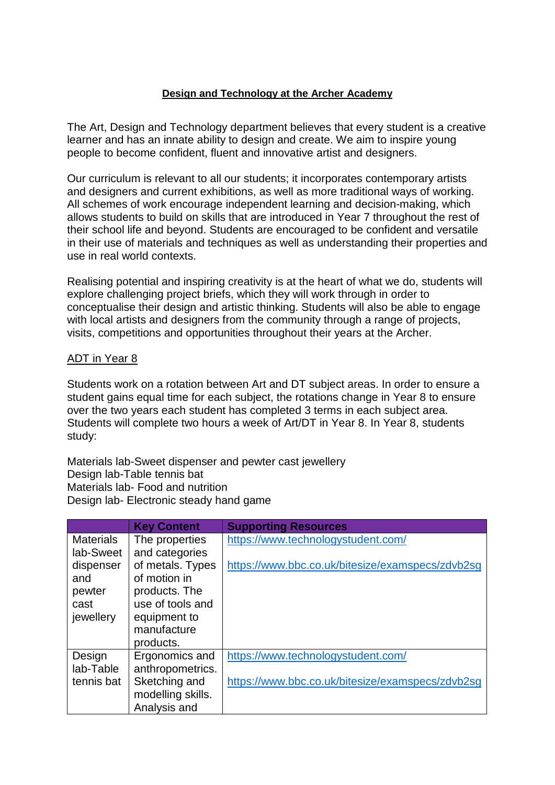## **Design and Technology at the Archer Academy**

The Art, Design and Technology department believes that every student is a creative learner and has an innate ability to design and create. We aim to inspire young people to become confident, fluent and innovative artist and designers.

Our curriculum is relevant to all our students; it incorporates contemporary artists and designers and current exhibitions, as well as more traditional ways of working. All schemes of work encourage independent learning and decision-making, which allows students to build on skills that are introduced in Year 7 throughout the rest of their school life and beyond. Students are encouraged to be confident and versatile in their use of materials and techniques as well as understanding their properties and use in real world contexts.

Realising potential and inspiring creativity is at the heart of what we do, students will explore challenging project briefs, which they will work through in order to conceptualise their design and artistic thinking. Students will also be able to engage with local artists and designers from the community through a range of projects, visits, competitions and opportunities throughout their years at the Archer.

#### ADT in Year 8

Students work on a rotation between Art and DT subject areas. In order to ensure a student gains equal time for each subject, the rotations change in Year 8 to ensure over the two years each student has completed 3 terms in each subject area. Students will complete two hours a week of Art/DT in Year 8. In Year 8, students study:

Materials lab-Sweet dispenser and pewter cast jewellery Design lab-Table tennis bat Materials lab- Food and nutrition Design lab- Electronic steady hand game

|                  | <b>Key Content</b> | <b>Supporting Resources</b>                      |
|------------------|--------------------|--------------------------------------------------|
| <b>Materials</b> | The properties     | https://www.technologystudent.com/               |
| lab-Sweet        | and categories     |                                                  |
| dispenser        | of metals. Types   | https://www.bbc.co.uk/bitesize/examspecs/zdvb2sg |
| and              | of motion in       |                                                  |
| pewter           | products. The      |                                                  |
| cast             | use of tools and   |                                                  |
| jewellery        | equipment to       |                                                  |
|                  | manufacture        |                                                  |
|                  | products.          |                                                  |
| Design           | Ergonomics and     | https://www.technologystudent.com/               |
| lab-Table        | anthropometrics.   |                                                  |
| tennis bat       | Sketching and      | https://www.bbc.co.uk/bitesize/examspecs/zdvb2sq |
|                  | modelling skills.  |                                                  |
|                  | Analysis and       |                                                  |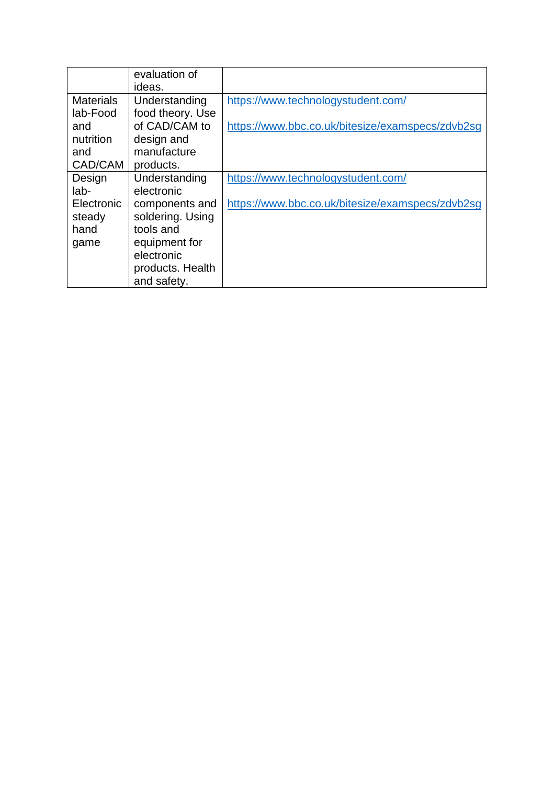|                  | evaluation of    |                                                  |
|------------------|------------------|--------------------------------------------------|
|                  | ideas.           |                                                  |
| <b>Materials</b> | Understanding    | https://www.technologystudent.com/               |
| lab-Food         | food theory. Use |                                                  |
| and              | of CAD/CAM to    | https://www.bbc.co.uk/bitesize/examspecs/zdvb2sg |
| nutrition        | design and       |                                                  |
| and              | manufacture      |                                                  |
| CAD/CAM          | products.        |                                                  |
| Design           | Understanding    | https://www.technologystudent.com/               |
| $lab-$           | electronic       |                                                  |
| Electronic       | components and   | https://www.bbc.co.uk/bitesize/examspecs/zdvb2sg |
| steady           | soldering. Using |                                                  |
| hand             | tools and        |                                                  |
| game             | equipment for    |                                                  |
|                  | electronic       |                                                  |
|                  | products. Health |                                                  |
|                  | and safety.      |                                                  |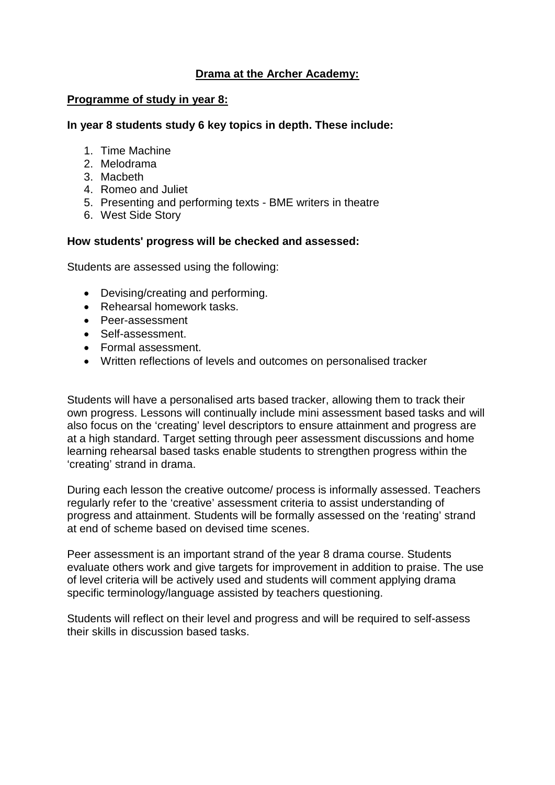## **Drama at the Archer Academy:**

#### **Programme of study in year 8:**

#### **In year 8 students study 6 key topics in depth. These include:**

- 1. Time Machine
- 2. Melodrama
- 3. Macbeth
- 4. Romeo and Juliet
- 5. Presenting and performing texts BME writers in theatre
- 6. West Side Story

#### **How students' progress will be checked and assessed:**

Students are assessed using the following:

- Devising/creating and performing.
- Rehearsal homework tasks.
- Peer-assessment
- Self-assessment.
- Formal assessment.
- Written reflections of levels and outcomes on personalised tracker

Students will have a personalised arts based tracker, allowing them to track their own progress. Lessons will continually include mini assessment based tasks and will also focus on the 'creating' level descriptors to ensure attainment and progress are at a high standard. Target setting through peer assessment discussions and home learning rehearsal based tasks enable students to strengthen progress within the 'creating' strand in drama.

During each lesson the creative outcome/ process is informally assessed. Teachers regularly refer to the 'creative' assessment criteria to assist understanding of progress and attainment. Students will be formally assessed on the 'reating' strand at end of scheme based on devised time scenes.

Peer assessment is an important strand of the year 8 drama course. Students evaluate others work and give targets for improvement in addition to praise. The use of level criteria will be actively used and students will comment applying drama specific terminology/language assisted by teachers questioning.

Students will reflect on their level and progress and will be required to self-assess their skills in discussion based tasks.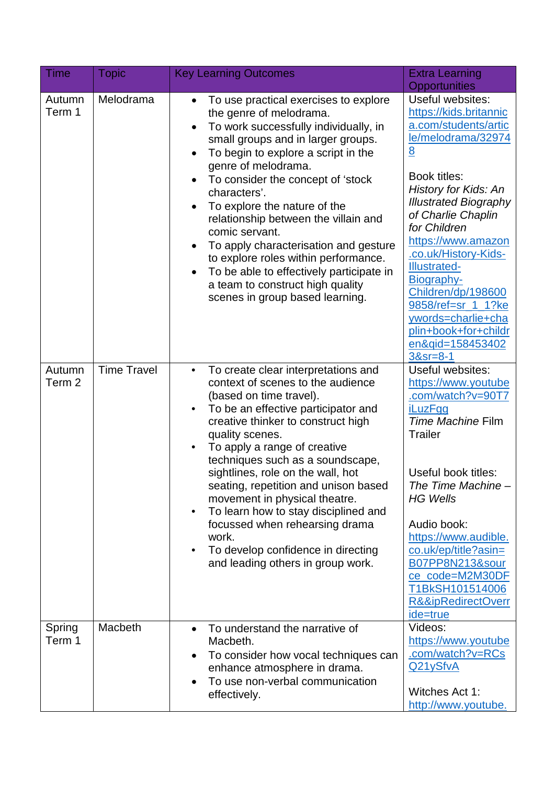| Time             | <b>Topic</b>       | <b>Key Learning Outcomes</b>                                                                                                                                                                                                                                                                                                                                                                                                                                                                                                                                                            | <b>Extra Learning</b>                                                                                                                                                                                                                                                                                                                                                                                                                                                     |
|------------------|--------------------|-----------------------------------------------------------------------------------------------------------------------------------------------------------------------------------------------------------------------------------------------------------------------------------------------------------------------------------------------------------------------------------------------------------------------------------------------------------------------------------------------------------------------------------------------------------------------------------------|---------------------------------------------------------------------------------------------------------------------------------------------------------------------------------------------------------------------------------------------------------------------------------------------------------------------------------------------------------------------------------------------------------------------------------------------------------------------------|
| Autumn<br>Term 1 | Melodrama          | To use practical exercises to explore<br>the genre of melodrama.<br>To work successfully individually, in<br>small groups and in larger groups.<br>To begin to explore a script in the<br>$\bullet$<br>genre of melodrama.<br>To consider the concept of 'stock<br>characters'.<br>To explore the nature of the<br>relationship between the villain and<br>comic servant.<br>To apply characterisation and gesture<br>to explore roles within performance.<br>To be able to effectively participate in<br>a team to construct high quality<br>scenes in group based learning.           | <b>Opportunities</b><br>Useful websites:<br>https://kids.britannic<br>a.com/students/artic<br>le/melodrama/32974<br>$\underline{8}$<br>Book titles:<br><b>History for Kids: An</b><br><b>Illustrated Biography</b><br>of Charlie Chaplin<br>for Children<br>https://www.amazon<br>.co.uk/History-Kids-<br><b>Illustrated-</b><br>Biography-<br>Children/dp/198600<br>9858/ref=sr_1_1?ke<br>ywords=charlie+cha<br>plin+book+for+childr<br>en&gid=158453402<br>$38sr = 8-1$ |
| Autumn<br>Term 2 | <b>Time Travel</b> | To create clear interpretations and<br>$\bullet$<br>context of scenes to the audience<br>(based on time travel).<br>To be an effective participator and<br>٠<br>creative thinker to construct high<br>quality scenes.<br>To apply a range of creative<br>techniques such as a soundscape,<br>sightlines, role on the wall, hot<br>seating, repetition and unison based<br>movement in physical theatre.<br>To learn how to stay disciplined and<br>$\bullet$<br>focussed when rehearsing drama<br>work.<br>To develop confidence in directing<br>٠<br>and leading others in group work. | Useful websites:<br>https://www.youtube<br>.com/watch?v=90T7<br><b>iLuzFgg</b><br>Time Machine Film<br><b>Trailer</b><br>Useful book titles:<br>The Time Machine -<br><b>HG Wells</b><br>Audio book:<br>https://www.audible.<br>co.uk/ep/title?asin=<br>B07PP8N213&sour<br>ce_code=M2M30DF<br>T1BkSH101514006<br><b>R&amp;&amp;ipRedirectOverr</b><br>ide=true                                                                                                            |
| Spring<br>Term 1 | Macbeth            | To understand the narrative of<br>Macbeth.<br>To consider how vocal techniques can<br>enhance atmosphere in drama.<br>To use non-verbal communication<br>effectively.                                                                                                                                                                                                                                                                                                                                                                                                                   | Videos:<br>https://www.youtube<br>.com/watch?v=RCs<br>Q21ySfvA<br>Witches Act 1:<br>http://www.youtube.                                                                                                                                                                                                                                                                                                                                                                   |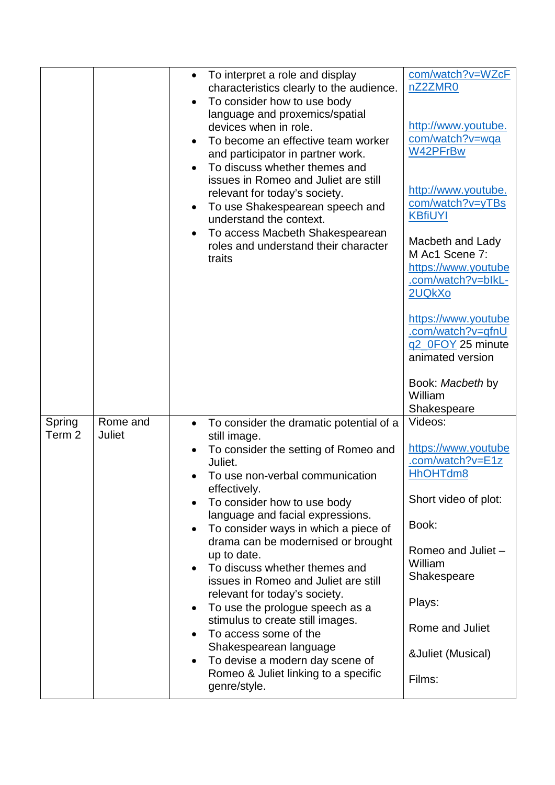|                  |                    | To interpret a role and display<br>characteristics clearly to the audience.<br>To consider how to use body<br>language and proxemics/spatial<br>devices when in role.<br>To become an effective team worker<br>and participator in partner work.<br>To discuss whether themes and<br>$\bullet$<br>issues in Romeo and Juliet are still<br>relevant for today's society.<br>To use Shakespearean speech and<br>understand the context.<br>To access Macbeth Shakespearean<br>roles and understand their character<br>traits                                                                                                                                                                          | com/watch?v=WZcF<br>nZ2ZMR0<br>http://www.youtube.<br>com/watch?v=wqa<br>W42PFrBw<br>http://www.youtube.<br>com/watch?v=yTBs<br><b>KBfiUYI</b><br>Macbeth and Lady<br>M Ac1 Scene 7:<br>https://www.youtube<br>.com/watch?v=blkL-<br>2UQkXo<br>https://www.youtube<br>.com/watch?v=qfnU<br>q2_0FOY 25 minute<br>animated version<br>Book: Macbeth by<br>William<br>Shakespeare |
|------------------|--------------------|-----------------------------------------------------------------------------------------------------------------------------------------------------------------------------------------------------------------------------------------------------------------------------------------------------------------------------------------------------------------------------------------------------------------------------------------------------------------------------------------------------------------------------------------------------------------------------------------------------------------------------------------------------------------------------------------------------|--------------------------------------------------------------------------------------------------------------------------------------------------------------------------------------------------------------------------------------------------------------------------------------------------------------------------------------------------------------------------------|
| Spring<br>Term 2 | Rome and<br>Juliet | To consider the dramatic potential of a<br>$\bullet$<br>still image.<br>To consider the setting of Romeo and<br>Juliet.<br>To use non-verbal communication<br>effectively.<br>To consider how to use body<br>language and facial expressions.<br>To consider ways in which a piece of<br>drama can be modernised or brought<br>up to date.<br>To discuss whether themes and<br>issues in Romeo and Juliet are still<br>relevant for today's society.<br>To use the prologue speech as a<br>$\bullet$<br>stimulus to create still images.<br>To access some of the<br>Shakespearean language<br>To devise a modern day scene of<br>$\bullet$<br>Romeo & Juliet linking to a specific<br>genre/style. | Videos:<br>https://www.youtube<br>.com/watch?v=E1z<br>HhOHTdm8<br>Short video of plot:<br>Book:<br>Romeo and Juliet -<br>William<br>Shakespeare<br>Plays:<br>Rome and Juliet<br>& Juliet (Musical)<br>Films:                                                                                                                                                                   |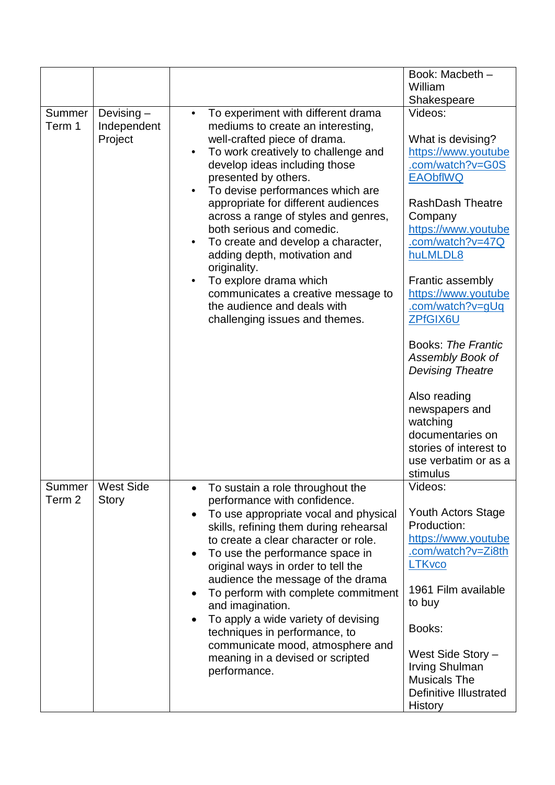|                  |                                        |                                                                                                                                                                                                                                                                                                                                                                                                                                                                                                                                                                                             | Book: Macbeth -                                                                                                                                                                                                                                                                                                                                                                                                  |
|------------------|----------------------------------------|---------------------------------------------------------------------------------------------------------------------------------------------------------------------------------------------------------------------------------------------------------------------------------------------------------------------------------------------------------------------------------------------------------------------------------------------------------------------------------------------------------------------------------------------------------------------------------------------|------------------------------------------------------------------------------------------------------------------------------------------------------------------------------------------------------------------------------------------------------------------------------------------------------------------------------------------------------------------------------------------------------------------|
|                  |                                        |                                                                                                                                                                                                                                                                                                                                                                                                                                                                                                                                                                                             | William                                                                                                                                                                                                                                                                                                                                                                                                          |
|                  |                                        |                                                                                                                                                                                                                                                                                                                                                                                                                                                                                                                                                                                             | Shakespeare                                                                                                                                                                                                                                                                                                                                                                                                      |
| Summer<br>Term 1 | Devising $-$<br>Independent<br>Project | To experiment with different drama<br>$\bullet$<br>mediums to create an interesting,<br>well-crafted piece of drama.<br>To work creatively to challenge and<br>develop ideas including those<br>presented by others.<br>To devise performances which are<br>appropriate for different audiences<br>across a range of styles and genres,<br>both serious and comedic.<br>To create and develop a character,<br>adding depth, motivation and<br>originality.<br>To explore drama which<br>communicates a creative message to<br>the audience and deals with<br>challenging issues and themes. | Videos:<br>What is devising?<br>https://www.youtube<br>.com/watch?v=G0S<br><b>EAObflWQ</b><br><b>RashDash Theatre</b><br>Company<br>https://www.youtube<br>.com/watch?v=47Q<br>huLMLDL8<br>Frantic assembly<br>https://www.youtube<br>.com/watch?v=gUq<br>ZPfGIX6U<br><b>Books: The Frantic</b><br>Assembly Book of<br><b>Devising Theatre</b><br>Also reading<br>newspapers and<br>watching<br>documentaries on |
|                  |                                        |                                                                                                                                                                                                                                                                                                                                                                                                                                                                                                                                                                                             | stories of interest to<br>use verbatim or as a                                                                                                                                                                                                                                                                                                                                                                   |
|                  |                                        |                                                                                                                                                                                                                                                                                                                                                                                                                                                                                                                                                                                             | stimulus                                                                                                                                                                                                                                                                                                                                                                                                         |
| Summer<br>Term 2 | <b>West Side</b><br><b>Story</b>       | To sustain a role throughout the<br>$\bullet$<br>performance with confidence.<br>To use appropriate vocal and physical<br>skills, refining them during rehearsal<br>to create a clear character or role.<br>To use the performance space in<br>original ways in order to tell the<br>audience the message of the drama<br>To perform with complete commitment<br>and imagination.<br>To apply a wide variety of devising<br>techniques in performance, to<br>communicate mood, atmosphere and<br>meaning in a devised or scripted<br>performance.                                           | Videos:<br>Youth Actors Stage<br>Production:<br>https://www.youtube<br>.com/watch?v=Zi8th<br><b>LTKvco</b><br>1961 Film available<br>to buy<br>Books:<br>West Side Story -<br>Irving Shulman<br><b>Musicals The</b><br><b>Definitive Illustrated</b><br><b>History</b>                                                                                                                                           |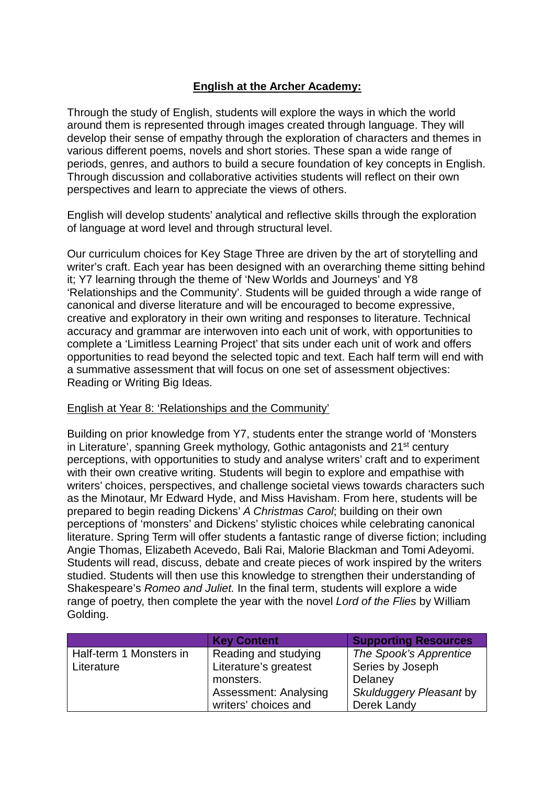## **English at the Archer Academy:**

Through the study of English, students will explore the ways in which the world around them is represented through images created through language. They will develop their sense of empathy through the exploration of characters and themes in various different poems, novels and short stories. These span a wide range of periods, genres, and authors to build a secure foundation of key concepts in English. Through discussion and collaborative activities students will reflect on their own perspectives and learn to appreciate the views of others.

English will develop students' analytical and reflective skills through the exploration of language at word level and through structural level.

Our curriculum choices for Key Stage Three are driven by the art of storytelling and writer's craft. Each year has been designed with an overarching theme sitting behind it; Y7 learning through the theme of 'New Worlds and Journeys' and Y8 'Relationships and the Community'. Students will be guided through a wide range of canonical and diverse literature and will be encouraged to become expressive, creative and exploratory in their own writing and responses to literature. Technical accuracy and grammar are interwoven into each unit of work, with opportunities to complete a 'Limitless Learning Project' that sits under each unit of work and offers opportunities to read beyond the selected topic and text. Each half term will end with a summative assessment that will focus on one set of assessment objectives: Reading or Writing Big Ideas.

#### English at Year 8: 'Relationships and the Community'

Building on prior knowledge from Y7, students enter the strange world of 'Monsters in Literature', spanning Greek mythology, Gothic antagonists and 21<sup>st</sup> century perceptions, with opportunities to study and analyse writers' craft and to experiment with their own creative writing. Students will begin to explore and empathise with writers' choices, perspectives, and challenge societal views towards characters such as the Minotaur, Mr Edward Hyde, and Miss Havisham. From here, students will be prepared to begin reading Dickens' *A Christmas Carol*; building on their own perceptions of 'monsters' and Dickens' stylistic choices while celebrating canonical literature. Spring Term will offer students a fantastic range of diverse fiction; including Angie Thomas, Elizabeth Acevedo, Bali Rai, Malorie Blackman and Tomi Adeyomi. Students will read, discuss, debate and create pieces of work inspired by the writers studied. Students will then use this knowledge to strengthen their understanding of Shakespeare's *Romeo and Juliet.* In the final term, students will explore a wide range of poetry, then complete the year with the novel *Lord of the Flies* by William Golding.

|                         | <b>Key Content</b>           | <b>Supporting Resources</b> |
|-------------------------|------------------------------|-----------------------------|
| Half-term 1 Monsters in | Reading and studying         | The Spook's Apprentice      |
| Literature              | Literature's greatest        | Series by Joseph            |
|                         | monsters.                    | Delaney                     |
|                         | <b>Assessment: Analysing</b> | Skulduggery Pleasant by     |
|                         | writers' choices and         | Derek Landy                 |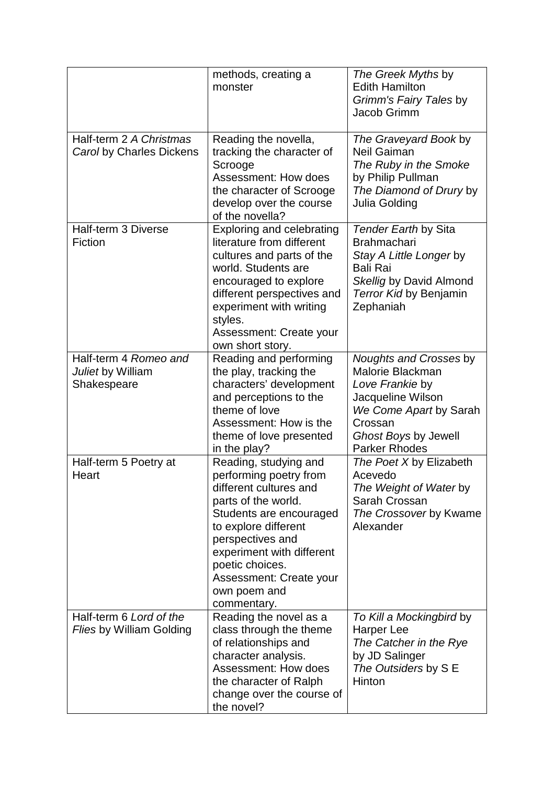|                                                            | methods, creating a<br>monster                                                                                                                                                                                                                                                    | The Greek Myths by<br><b>Edith Hamilton</b><br>Grimm's Fairy Tales by<br>Jacob Grimm                                                                                    |
|------------------------------------------------------------|-----------------------------------------------------------------------------------------------------------------------------------------------------------------------------------------------------------------------------------------------------------------------------------|-------------------------------------------------------------------------------------------------------------------------------------------------------------------------|
| Half-term 2 A Christmas<br>Carol by Charles Dickens        | Reading the novella,<br>tracking the character of<br>Scrooge<br>Assessment: How does<br>the character of Scrooge<br>develop over the course<br>of the novella?                                                                                                                    | The Graveyard Book by<br><b>Neil Gaiman</b><br>The Ruby in the Smoke<br>by Philip Pullman<br>The Diamond of Drury by<br>Julia Golding                                   |
| Half-term 3 Diverse<br>Fiction                             | <b>Exploring and celebrating</b><br>literature from different<br>cultures and parts of the<br>world. Students are<br>encouraged to explore<br>different perspectives and<br>experiment with writing<br>styles.<br>Assessment: Create your<br>own short story.                     | Tender Earth by Sita<br><b>Brahmachari</b><br>Stay A Little Longer by<br><b>Bali Rai</b><br>Skellig by David Almond<br>Terror Kid by Benjamin<br>Zephaniah              |
| Half-term 4 Romeo and<br>Juliet by William<br>Shakespeare  | Reading and performing<br>the play, tracking the<br>characters' development<br>and perceptions to the<br>theme of love<br>Assessment: How is the<br>theme of love presented<br>in the play?                                                                                       | Noughts and Crosses by<br>Malorie Blackman<br>Love Frankie by<br>Jacqueline Wilson<br>We Come Apart by Sarah<br>Crossan<br>Ghost Boys by Jewell<br><b>Parker Rhodes</b> |
| Half-term 5 Poetry at<br>Heart                             | Reading, studying and<br>performing poetry from<br>different cultures and<br>parts of the world.<br>Students are encouraged<br>to explore different<br>perspectives and<br>experiment with different<br>poetic choices.<br>Assessment: Create your<br>own poem and<br>commentary. | The Poet X by Elizabeth<br>Acevedo<br>The Weight of Water by<br>Sarah Crossan<br>The Crossover by Kwame<br>Alexander                                                    |
| Half-term 6 Lord of the<br><b>Flies by William Golding</b> | Reading the novel as a<br>class through the theme<br>of relationships and<br>character analysis.<br><b>Assessment: How does</b><br>the character of Ralph<br>change over the course of<br>the novel?                                                                              | To Kill a Mockingbird by<br>Harper Lee<br>The Catcher in the Rye<br>by JD Salinger<br>The Outsiders by S E<br>Hinton                                                    |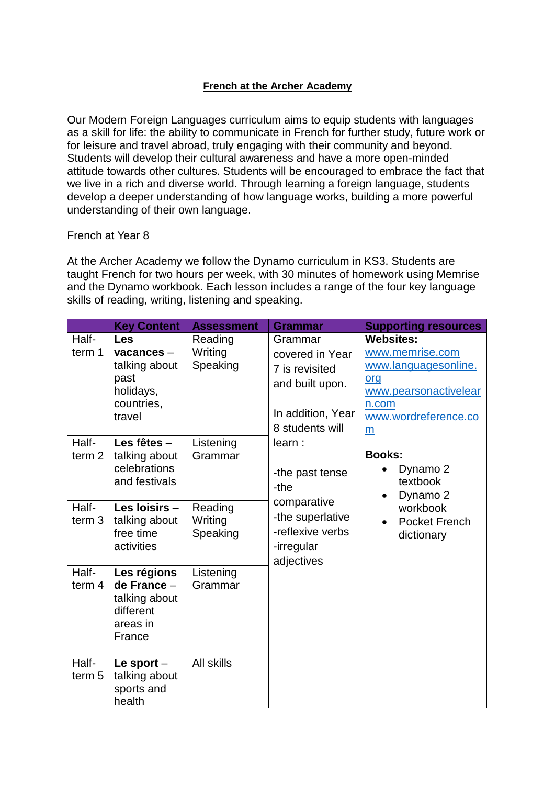## **French at the Archer Academy**

Our Modern Foreign Languages curriculum aims to equip students with languages as a skill for life: the ability to communicate in French for further study, future work or for leisure and travel abroad, truly engaging with their community and beyond. Students will develop their cultural awareness and have a more open-minded attitude towards other cultures. Students will be encouraged to embrace the fact that we live in a rich and diverse world. Through learning a foreign language, students develop a deeper understanding of how language works, building a more powerful understanding of their own language.

#### French at Year 8

At the Archer Academy we follow the Dynamo curriculum in KS3. Students are taught French for two hours per week, with 30 minutes of homework using Memrise and the Dynamo workbook. Each lesson includes a range of the four key language skills of reading, writing, listening and speaking.

|                            | <b>Key Content</b>                                                             | <b>Assessment</b>              | <b>Grammar</b>                                                                                          | <b>Supporting resources</b>                                                                                                       |
|----------------------------|--------------------------------------------------------------------------------|--------------------------------|---------------------------------------------------------------------------------------------------------|-----------------------------------------------------------------------------------------------------------------------------------|
| Half-<br>term 1            | Les<br>vacances-<br>talking about<br>past<br>holidays,<br>countries,<br>travel | Reading<br>Writing<br>Speaking | Grammar<br>covered in Year<br>7 is revisited<br>and built upon.<br>In addition, Year<br>8 students will | <b>Websites:</b><br>www.memrise.com<br>www.languagesonline.<br>org<br>www.pearsonactivelear<br>n.com<br>www.wordreference.co<br>m |
| Half-<br>term <sub>2</sub> | Les fêtes -<br>talking about<br>celebrations<br>and festivals                  | Listening<br>Grammar           | learn:<br>-the past tense<br>-the                                                                       | <b>Books:</b><br>Dynamo 2<br>textbook<br>Dynamo 2<br>$\bullet$                                                                    |
| Half-<br>term <sub>3</sub> | Les loisirs -<br>talking about<br>free time<br>activities                      | Reading<br>Writing<br>Speaking | comparative<br>-the superlative<br>-reflexive verbs<br>-irregular<br>adjectives                         | workbook<br><b>Pocket French</b><br>dictionary                                                                                    |
| Half-<br>term 4            | Les régions<br>de France -<br>talking about<br>different<br>areas in<br>France | Listening<br>Grammar           |                                                                                                         |                                                                                                                                   |
| Half-<br>term <sub>5</sub> | Le sport $-$<br>talking about<br>sports and<br>health                          | <b>All skills</b>              |                                                                                                         |                                                                                                                                   |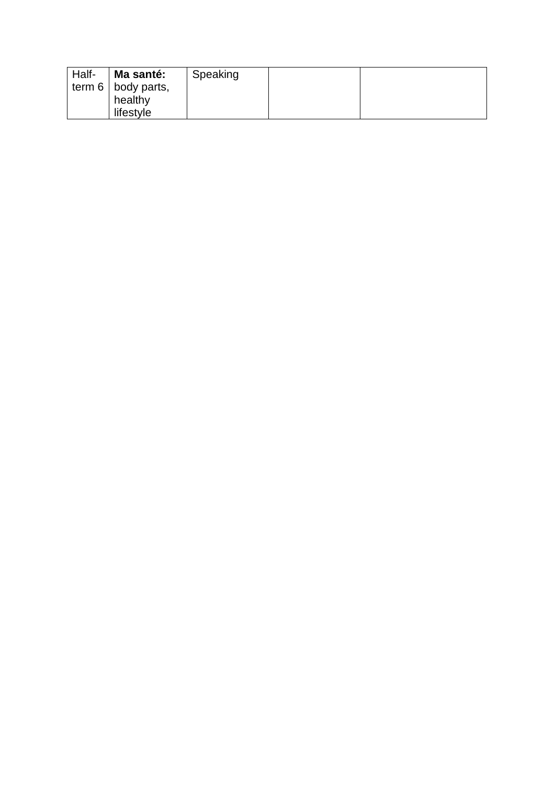| Half- | Ma santé:                 | Speaking |  |
|-------|---------------------------|----------|--|
|       | term $6 \mid$ body parts, |          |  |
|       | healthy                   |          |  |
|       | lifestyle                 |          |  |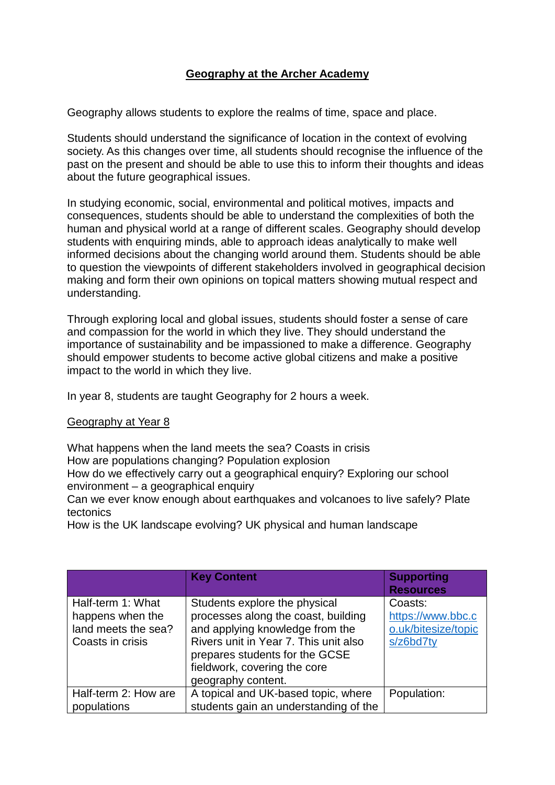# **Geography at the Archer Academy**

Geography allows students to explore the realms of time, space and place.

Students should understand the significance of location in the context of evolving society. As this changes over time, all students should recognise the influence of the past on the present and should be able to use this to inform their thoughts and ideas about the future geographical issues.

In studying economic, social, environmental and political motives, impacts and consequences, students should be able to understand the complexities of both the human and physical world at a range of different scales. Geography should develop students with enquiring minds, able to approach ideas analytically to make well informed decisions about the changing world around them. Students should be able to question the viewpoints of different stakeholders involved in geographical decision making and form their own opinions on topical matters showing mutual respect and understanding.

Through exploring local and global issues, students should foster a sense of care and compassion for the world in which they live. They should understand the importance of sustainability and be impassioned to make a difference. Geography should empower students to become active global citizens and make a positive impact to the world in which they live.

In year 8, students are taught Geography for 2 hours a week.

#### Geography at Year 8

What happens when the land meets the sea? Coasts in crisis How are populations changing? Population explosion How do we effectively carry out a geographical enquiry? Exploring our school environment – a geographical enquiry

Can we ever know enough about earthquakes and volcanoes to live safely? Plate tectonics

How is the UK landscape evolving? UK physical and human landscape

|                                                                                  | <b>Key Content</b>                                                                                                                                                                                                                       | <b>Supporting</b><br><b>Resources</b>                            |
|----------------------------------------------------------------------------------|------------------------------------------------------------------------------------------------------------------------------------------------------------------------------------------------------------------------------------------|------------------------------------------------------------------|
| Half-term 1: What<br>happens when the<br>land meets the sea?<br>Coasts in crisis | Students explore the physical<br>processes along the coast, building<br>and applying knowledge from the<br>Rivers unit in Year 7. This unit also<br>prepares students for the GCSE<br>fieldwork, covering the core<br>geography content. | Coasts:<br>https://www.bbc.c<br>o.uk/bitesize/topic<br>s/z6bd7ty |
| Half-term 2: How are<br>populations                                              | A topical and UK-based topic, where<br>students gain an understanding of the                                                                                                                                                             | Population:                                                      |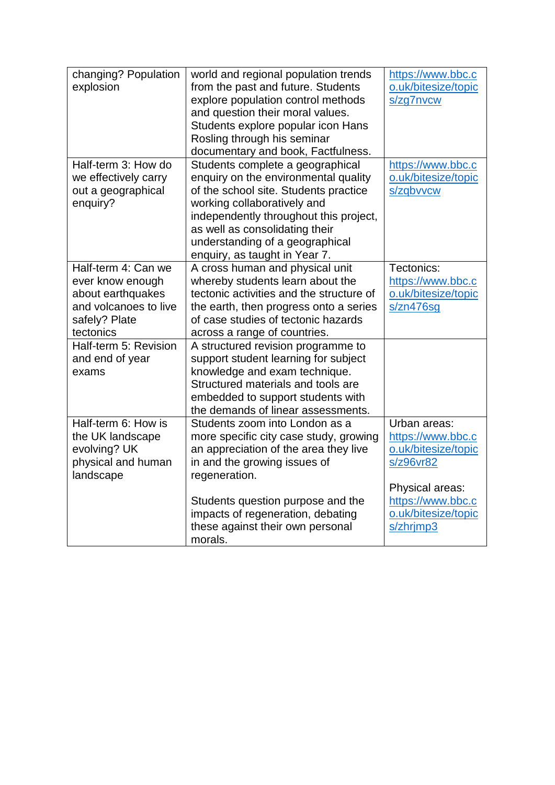| changing? Population  | world and regional population trends     | https://www.bbc.c   |
|-----------------------|------------------------------------------|---------------------|
| explosion             | from the past and future. Students       | o.uk/bitesize/topic |
|                       | explore population control methods       | s/zq7nvcw           |
|                       | and question their moral values.         |                     |
|                       | Students explore popular icon Hans       |                     |
|                       | Rosling through his seminar              |                     |
|                       | documentary and book, Factfulness.       |                     |
| Half-term 3: How do   | Students complete a geographical         | https://www.bbc.c   |
| we effectively carry  | enquiry on the environmental quality     | o.uk/bitesize/topic |
| out a geographical    | of the school site. Students practice    | s/zqbvvcw           |
| enquiry?              | working collaboratively and              |                     |
|                       | independently throughout this project,   |                     |
|                       | as well as consolidating their           |                     |
|                       | understanding of a geographical          |                     |
|                       | enquiry, as taught in Year 7.            |                     |
| Half-term 4: Can we   | A cross human and physical unit          | Tectonics:          |
| ever know enough      | whereby students learn about the         | https://www.bbc.c   |
| about earthquakes     | tectonic activities and the structure of | o.uk/bitesize/topic |
| and volcanoes to live | the earth, then progress onto a series   | $s$ /zn476sg        |
| safely? Plate         | of case studies of tectonic hazards      |                     |
| tectonics             | across a range of countries.             |                     |
| Half-term 5: Revision | A structured revision programme to       |                     |
| and end of year       | support student learning for subject     |                     |
| exams                 | knowledge and exam technique.            |                     |
|                       | Structured materials and tools are       |                     |
|                       | embedded to support students with        |                     |
|                       | the demands of linear assessments.       |                     |
| Half-term 6: How is   | Students zoom into London as a           | Urban areas:        |
| the UK landscape      | more specific city case study, growing   | https://www.bbc.c   |
| evolving? UK          | an appreciation of the area they live    | o.uk/bitesize/topic |
| physical and human    | in and the growing issues of             | s/z96vr82           |
| landscape             | regeneration.                            |                     |
|                       |                                          | Physical areas:     |
|                       | Students question purpose and the        | https://www.bbc.c   |
|                       | impacts of regeneration, debating        | o.uk/bitesize/topic |
|                       | these against their own personal         | s/zhrjmp3           |
|                       | morals.                                  |                     |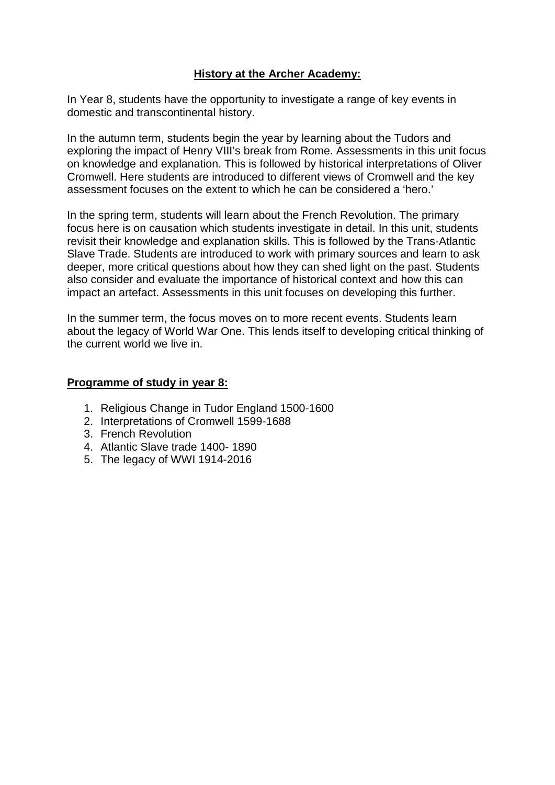## **History at the Archer Academy:**

In Year 8, students have the opportunity to investigate a range of key events in domestic and transcontinental history.

In the autumn term, students begin the year by learning about the Tudors and exploring the impact of Henry VIII's break from Rome. Assessments in this unit focus on knowledge and explanation. This is followed by historical interpretations of Oliver Cromwell. Here students are introduced to different views of Cromwell and the key assessment focuses on the extent to which he can be considered a 'hero.'

In the spring term, students will learn about the French Revolution. The primary focus here is on causation which students investigate in detail. In this unit, students revisit their knowledge and explanation skills. This is followed by the Trans-Atlantic Slave Trade. Students are introduced to work with primary sources and learn to ask deeper, more critical questions about how they can shed light on the past. Students also consider and evaluate the importance of historical context and how this can impact an artefact. Assessments in this unit focuses on developing this further.

In the summer term, the focus moves on to more recent events. Students learn about the legacy of World War One. This lends itself to developing critical thinking of the current world we live in.

#### **Programme of study in year 8:**

- 1. Religious Change in Tudor England 1500-1600
- 2. Interpretations of Cromwell 1599-1688
- 3. French Revolution
- 4. Atlantic Slave trade 1400- 1890
- 5. The legacy of WWI 1914-2016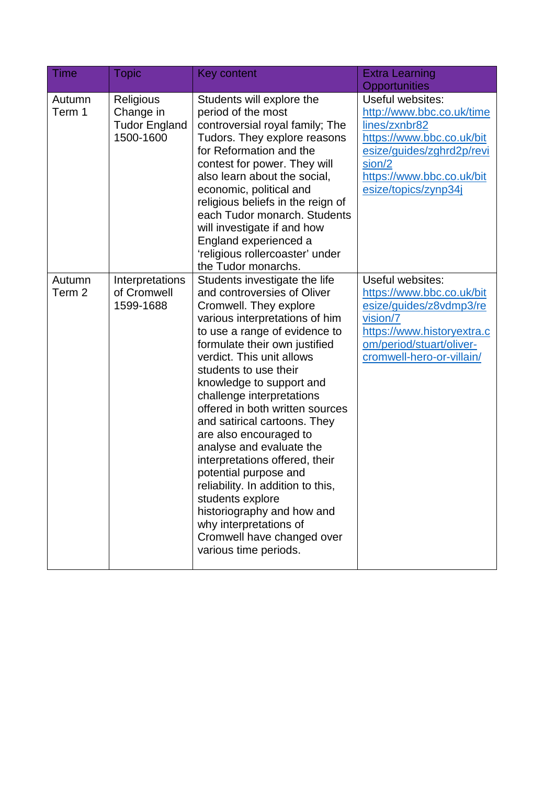| <b>Time</b>      | <b>Topic</b>                                                | Key content                                                                                                                                                                                                                                                                                                                                                                                                                                                                                                                                                                                                                                                           | <b>Extra Learning</b>                                                                                                                                                                   |
|------------------|-------------------------------------------------------------|-----------------------------------------------------------------------------------------------------------------------------------------------------------------------------------------------------------------------------------------------------------------------------------------------------------------------------------------------------------------------------------------------------------------------------------------------------------------------------------------------------------------------------------------------------------------------------------------------------------------------------------------------------------------------|-----------------------------------------------------------------------------------------------------------------------------------------------------------------------------------------|
|                  |                                                             |                                                                                                                                                                                                                                                                                                                                                                                                                                                                                                                                                                                                                                                                       | Opportunities                                                                                                                                                                           |
| Autumn<br>Term 1 | Religious<br>Change in<br><b>Tudor England</b><br>1500-1600 | Students will explore the<br>period of the most<br>controversial royal family; The<br>Tudors. They explore reasons<br>for Reformation and the<br>contest for power. They will<br>also learn about the social,<br>economic, political and<br>religious beliefs in the reign of<br>each Tudor monarch. Students<br>will investigate if and how<br>England experienced a<br>'religious rollercoaster' under<br>the Tudor monarchs.                                                                                                                                                                                                                                       | Useful websites:<br>http://www.bbc.co.uk/time<br>lines/zxnbr82<br>https://www.bbc.co.uk/bit<br>esize/guides/zghrd2p/revi<br>sion/2<br>https://www.bbc.co.uk/bit<br>esize/topics/zynp34j |
| Autumn<br>Term 2 | Interpretations<br>of Cromwell<br>1599-1688                 | Students investigate the life<br>and controversies of Oliver<br>Cromwell. They explore<br>various interpretations of him<br>to use a range of evidence to<br>formulate their own justified<br>verdict. This unit allows<br>students to use their<br>knowledge to support and<br>challenge interpretations<br>offered in both written sources<br>and satirical cartoons. They<br>are also encouraged to<br>analyse and evaluate the<br>interpretations offered, their<br>potential purpose and<br>reliability. In addition to this,<br>students explore<br>historiography and how and<br>why interpretations of<br>Cromwell have changed over<br>various time periods. | Useful websites:<br>https://www.bbc.co.uk/bit<br>esize/guides/z8vdmp3/re<br>vision/7<br>https://www.historyextra.c<br>om/period/stuart/oliver-<br>cromwell-hero-or-villain/             |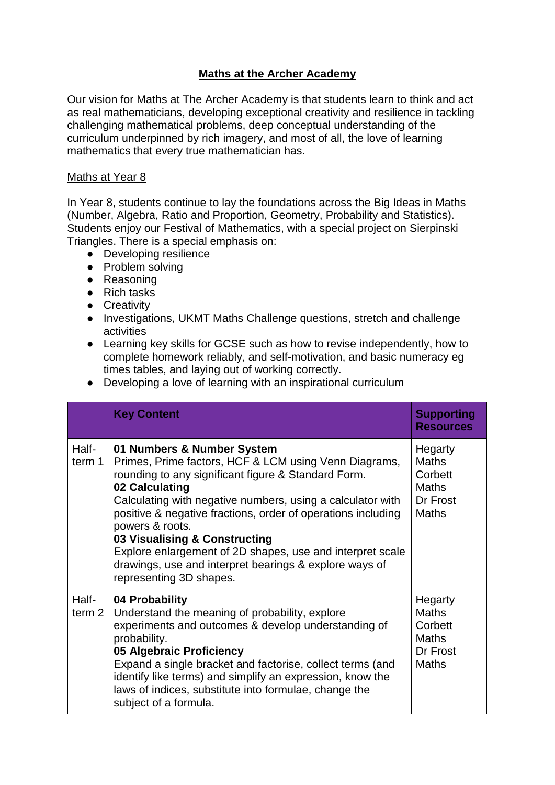# **Maths at the Archer Academy**

Our vision for Maths at The Archer Academy is that students learn to think and act as real mathematicians, developing exceptional creativity and resilience in tackling challenging mathematical problems, deep conceptual understanding of the curriculum underpinned by rich imagery, and most of all, the love of learning mathematics that every true mathematician has.

#### Maths at Year 8

In Year 8, students continue to lay the foundations across the Big Ideas in Maths (Number, Algebra, Ratio and Proportion, Geometry, Probability and Statistics). Students enjoy our Festival of Mathematics, with a special project on Sierpinski Triangles. There is a special emphasis on:

- Developing resilience
- Problem solving
- Reasoning
- Rich tasks
- Creativity
- Investigations, UKMT Maths Challenge questions, stretch and challenge activities
- Learning key skills for GCSE such as how to revise independently, how to complete homework reliably, and self-motivation, and basic numeracy eg times tables, and laying out of working correctly.
- Developing a love of learning with an inspirational curriculum

|                            | <b>Key Content</b>                                                                                                                                                                                                                                                                                                                                                                                                                                                                               | <b>Supporting</b><br><b>Resources</b>                                          |
|----------------------------|--------------------------------------------------------------------------------------------------------------------------------------------------------------------------------------------------------------------------------------------------------------------------------------------------------------------------------------------------------------------------------------------------------------------------------------------------------------------------------------------------|--------------------------------------------------------------------------------|
| Half-<br>term 1            | 01 Numbers & Number System<br>Primes, Prime factors, HCF & LCM using Venn Diagrams,<br>rounding to any significant figure & Standard Form.<br>02 Calculating<br>Calculating with negative numbers, using a calculator with<br>positive & negative fractions, order of operations including<br>powers & roots.<br>03 Visualising & Constructing<br>Explore enlargement of 2D shapes, use and interpret scale<br>drawings, use and interpret bearings & explore ways of<br>representing 3D shapes. | Hegarty<br><b>Maths</b><br>Corbett<br><b>Maths</b><br>Dr Frost<br><b>Maths</b> |
| Half-<br>term <sub>2</sub> | 04 Probability<br>Understand the meaning of probability, explore<br>experiments and outcomes & develop understanding of<br>probability.<br>05 Algebraic Proficiency<br>Expand a single bracket and factorise, collect terms (and<br>identify like terms) and simplify an expression, know the<br>laws of indices, substitute into formulae, change the<br>subject of a formula.                                                                                                                  | Hegarty<br><b>Maths</b><br>Corbett<br><b>Maths</b><br>Dr Frost<br>Maths        |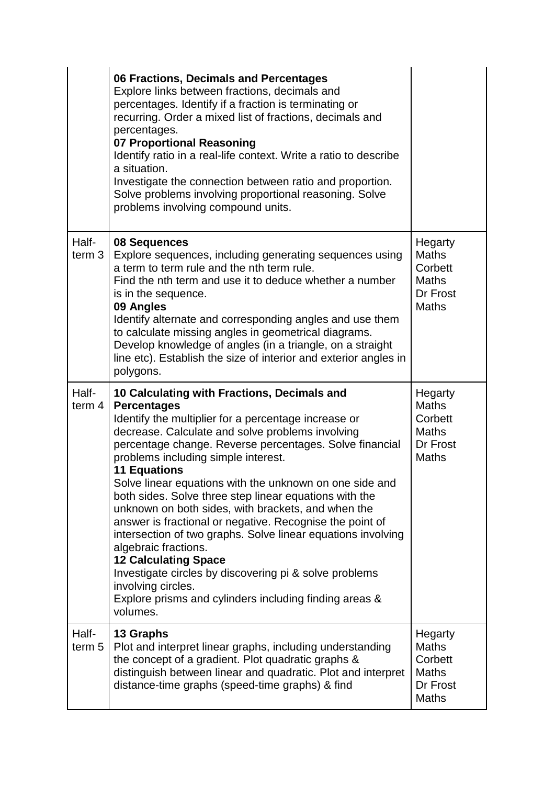|                            | 06 Fractions, Decimals and Percentages<br>Explore links between fractions, decimals and<br>percentages. Identify if a fraction is terminating or<br>recurring. Order a mixed list of fractions, decimals and<br>percentages.<br>07 Proportional Reasoning<br>Identify ratio in a real-life context. Write a ratio to describe<br>a situation.<br>Investigate the connection between ratio and proportion.<br>Solve problems involving proportional reasoning. Solve<br>problems involving compound units.                                                                                                                                                                                                                                                                                                                  |                                                                                |
|----------------------------|----------------------------------------------------------------------------------------------------------------------------------------------------------------------------------------------------------------------------------------------------------------------------------------------------------------------------------------------------------------------------------------------------------------------------------------------------------------------------------------------------------------------------------------------------------------------------------------------------------------------------------------------------------------------------------------------------------------------------------------------------------------------------------------------------------------------------|--------------------------------------------------------------------------------|
| Half-<br>term <sub>3</sub> | 08 Sequences<br>Explore sequences, including generating sequences using<br>a term to term rule and the nth term rule.<br>Find the nth term and use it to deduce whether a number<br>is in the sequence.<br>09 Angles<br>Identify alternate and corresponding angles and use them<br>to calculate missing angles in geometrical diagrams.<br>Develop knowledge of angles (in a triangle, on a straight<br>line etc). Establish the size of interior and exterior angles in<br>polygons.                                                                                                                                                                                                                                                                                                                                     | Hegarty<br><b>Maths</b><br>Corbett<br><b>Maths</b><br>Dr Frost<br><b>Maths</b> |
| Half-<br>term $4$          | 10 Calculating with Fractions, Decimals and<br><b>Percentages</b><br>Identify the multiplier for a percentage increase or<br>decrease. Calculate and solve problems involving<br>percentage change. Reverse percentages. Solve financial<br>problems including simple interest.<br><b>11 Equations</b><br>Solve linear equations with the unknown on one side and<br>both sides. Solve three step linear equations with the<br>unknown on both sides, with brackets, and when the<br>answer is fractional or negative. Recognise the point of<br>intersection of two graphs. Solve linear equations involving<br>algebraic fractions.<br><b>12 Calculating Space</b><br>Investigate circles by discovering pi & solve problems<br>involving circles.<br>Explore prisms and cylinders including finding areas &<br>volumes. | Hegarty<br><b>Maths</b><br>Corbett<br><b>Maths</b><br>Dr Frost<br><b>Maths</b> |
| Half-<br>term <sub>5</sub> | 13 Graphs<br>Plot and interpret linear graphs, including understanding<br>the concept of a gradient. Plot quadratic graphs &<br>distinguish between linear and quadratic. Plot and interpret<br>distance-time graphs (speed-time graphs) & find                                                                                                                                                                                                                                                                                                                                                                                                                                                                                                                                                                            | Hegarty<br><b>Maths</b><br>Corbett<br><b>Maths</b><br>Dr Frost<br><b>Maths</b> |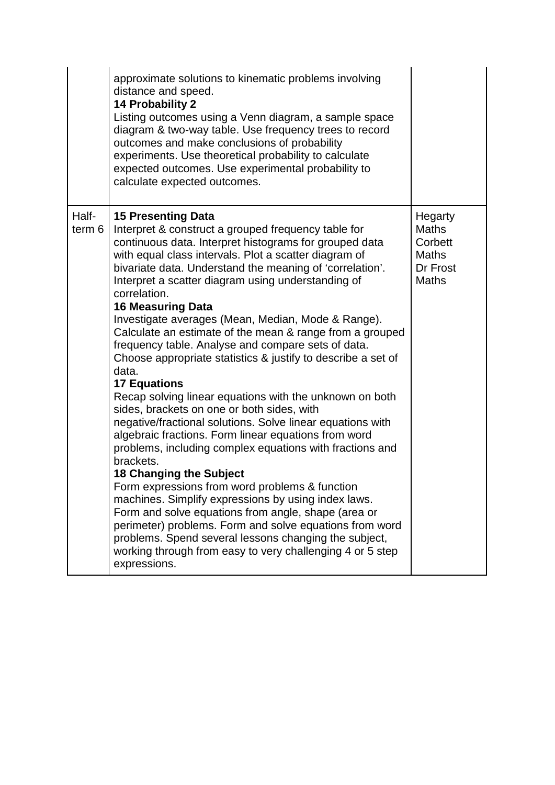|                            | approximate solutions to kinematic problems involving<br>distance and speed.<br><b>14 Probability 2</b><br>Listing outcomes using a Venn diagram, a sample space<br>diagram & two-way table. Use frequency trees to record<br>outcomes and make conclusions of probability<br>experiments. Use theoretical probability to calculate<br>expected outcomes. Use experimental probability to<br>calculate expected outcomes.                                                                                                                                                                                                                                                                                                                                                                                                                                                                                                                                                                                                                                                                                                                                                                                                                                                                                                                            |                                                                         |
|----------------------------|------------------------------------------------------------------------------------------------------------------------------------------------------------------------------------------------------------------------------------------------------------------------------------------------------------------------------------------------------------------------------------------------------------------------------------------------------------------------------------------------------------------------------------------------------------------------------------------------------------------------------------------------------------------------------------------------------------------------------------------------------------------------------------------------------------------------------------------------------------------------------------------------------------------------------------------------------------------------------------------------------------------------------------------------------------------------------------------------------------------------------------------------------------------------------------------------------------------------------------------------------------------------------------------------------------------------------------------------------|-------------------------------------------------------------------------|
| Half-<br>term <sub>6</sub> | <b>15 Presenting Data</b><br>Interpret & construct a grouped frequency table for<br>continuous data. Interpret histograms for grouped data<br>with equal class intervals. Plot a scatter diagram of<br>bivariate data. Understand the meaning of 'correlation'.<br>Interpret a scatter diagram using understanding of<br>correlation.<br><b>16 Measuring Data</b><br>Investigate averages (Mean, Median, Mode & Range).<br>Calculate an estimate of the mean & range from a grouped<br>frequency table. Analyse and compare sets of data.<br>Choose appropriate statistics & justify to describe a set of<br>data.<br><b>17 Equations</b><br>Recap solving linear equations with the unknown on both<br>sides, brackets on one or both sides, with<br>negative/fractional solutions. Solve linear equations with<br>algebraic fractions. Form linear equations from word<br>problems, including complex equations with fractions and<br>brackets.<br><b>18 Changing the Subject</b><br>Form expressions from word problems & function<br>machines. Simplify expressions by using index laws.<br>Form and solve equations from angle, shape (area or<br>perimeter) problems. Form and solve equations from word<br>problems. Spend several lessons changing the subject,<br>working through from easy to very challenging 4 or 5 step<br>expressions. | Hegarty<br>Maths<br>Corbett<br><b>Maths</b><br>Dr Frost<br><b>Maths</b> |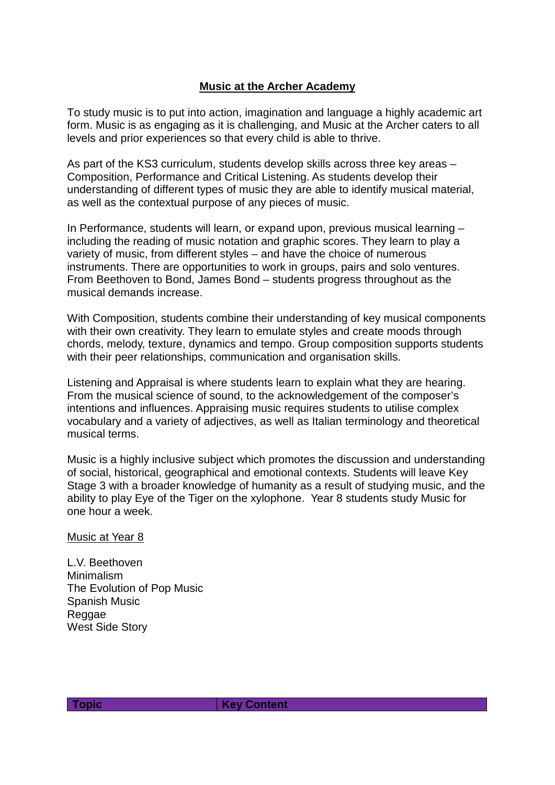## **Music at the Archer Academy**

To study music is to put into action, imagination and language a highly academic art form. Music is as engaging as it is challenging, and Music at the Archer caters to all levels and prior experiences so that every child is able to thrive.

As part of the KS3 curriculum, students develop skills across three key areas – Composition, Performance and Critical Listening. As students develop their understanding of different types of music they are able to identify musical material, as well as the contextual purpose of any pieces of music.

In Performance, students will learn, or expand upon, previous musical learning – including the reading of music notation and graphic scores. They learn to play a variety of music, from different styles – and have the choice of numerous instruments. There are opportunities to work in groups, pairs and solo ventures. From Beethoven to Bond, James Bond – students progress throughout as the musical demands increase.

With Composition, students combine their understanding of key musical components with their own creativity. They learn to emulate styles and create moods through chords, melody, texture, dynamics and tempo. Group composition supports students with their peer relationships, communication and organisation skills.

Listening and Appraisal is where students learn to explain what they are hearing. From the musical science of sound, to the acknowledgement of the composer's intentions and influences. Appraising music requires students to utilise complex vocabulary and a variety of adjectives, as well as Italian terminology and theoretical musical terms.

Music is a highly inclusive subject which promotes the discussion and understanding of social, historical, geographical and emotional contexts. Students will leave Key Stage 3 with a broader knowledge of humanity as a result of studying music, and the ability to play Eye of the Tiger on the xylophone. Year 8 students study Music for one hour a week.

Music at Year 8

L.V. Beethoven Minimalism The Evolution of Pop Music Spanish Music Reggae West Side Story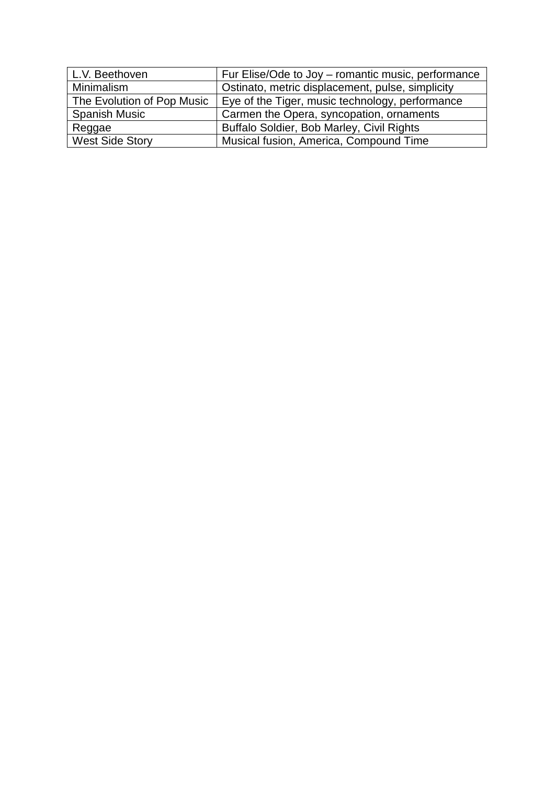| L.V. Beethoven             | Fur Elise/Ode to Joy – romantic music, performance |
|----------------------------|----------------------------------------------------|
| Minimalism                 | Ostinato, metric displacement, pulse, simplicity   |
| The Evolution of Pop Music | Eye of the Tiger, music technology, performance    |
| <b>Spanish Music</b>       | Carmen the Opera, syncopation, ornaments           |
| Reggae                     | Buffalo Soldier, Bob Marley, Civil Rights          |
| <b>West Side Story</b>     | Musical fusion, America, Compound Time             |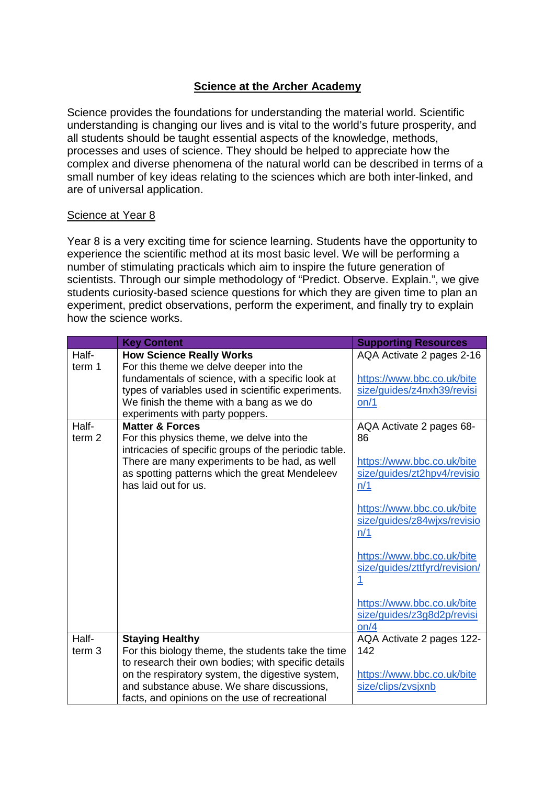## **Science at the Archer Academy**

Science provides the foundations for understanding the material world. Scientific understanding is changing our lives and is vital to the world's future prosperity, and all students should be taught essential aspects of the knowledge, methods, processes and uses of science. They should be helped to appreciate how the complex and diverse phenomena of the natural world can be described in terms of a small number of key ideas relating to the sciences which are both inter-linked, and are of universal application.

#### Science at Year 8

Year 8 is a very exciting time for science learning. Students have the opportunity to experience the scientific method at its most basic level. We will be performing a number of stimulating practicals which aim to inspire the future generation of scientists. Through our simple methodology of "Predict. Observe. Explain.", we give students curiosity-based science questions for which they are given time to plan an experiment, predict observations, perform the experiment, and finally try to explain how the science works.

|                   | <b>Key Content</b>                                    | <b>Supporting Resources</b>   |
|-------------------|-------------------------------------------------------|-------------------------------|
| Half-             | <b>How Science Really Works</b>                       | AQA Activate 2 pages 2-16     |
| term 1            | For this theme we delve deeper into the               |                               |
|                   | fundamentals of science, with a specific look at      | https://www.bbc.co.uk/bite    |
|                   | types of variables used in scientific experiments.    | size/guides/z4nxh39/revisi    |
|                   | We finish the theme with a bang as we do              | on/1                          |
|                   | experiments with party poppers.                       |                               |
| Half-             | <b>Matter &amp; Forces</b>                            | AQA Activate 2 pages 68-      |
| term <sub>2</sub> | For this physics theme, we delve into the             | 86                            |
|                   | intricacies of specific groups of the periodic table. |                               |
|                   | There are many experiments to be had, as well         | https://www.bbc.co.uk/bite    |
|                   | as spotting patterns which the great Mendeleev        | size/guides/zt2hpv4/revisio   |
|                   | has laid out for us.                                  | n/1                           |
|                   |                                                       | https://www.bbc.co.uk/bite    |
|                   |                                                       | size/guides/z84wjxs/revisio   |
|                   |                                                       | n/1                           |
|                   |                                                       |                               |
|                   |                                                       | https://www.bbc.co.uk/bite    |
|                   |                                                       | size/quides/zttfyrd/revision/ |
|                   |                                                       | <u> 1</u>                     |
|                   |                                                       |                               |
|                   |                                                       | https://www.bbc.co.uk/bite    |
|                   |                                                       | size/guides/z3g8d2p/revisi    |
|                   |                                                       | on/4                          |
| Half-             | <b>Staying Healthy</b>                                | AQA Activate 2 pages 122-     |
| term <sub>3</sub> | For this biology theme, the students take the time    | 142                           |
|                   | to research their own bodies; with specific details   |                               |
|                   | on the respiratory system, the digestive system,      | https://www.bbc.co.uk/bite    |
|                   | and substance abuse. We share discussions,            | size/clips/zvsjxnb            |
|                   | facts, and opinions on the use of recreational        |                               |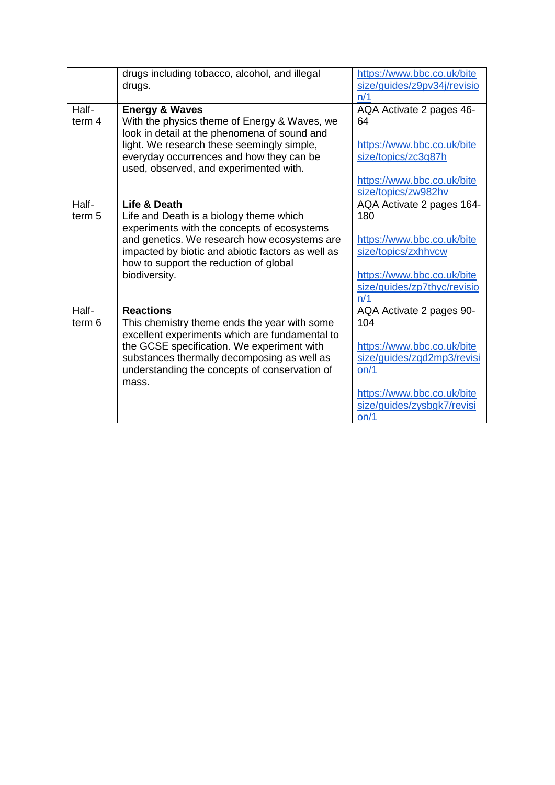|                            | drugs including tobacco, alcohol, and illegal<br>drugs.                                                                                                                                                                                                                   | https://www.bbc.co.uk/bite<br>size/guides/z9pv34j/revisio<br>n/1                                                                                                        |
|----------------------------|---------------------------------------------------------------------------------------------------------------------------------------------------------------------------------------------------------------------------------------------------------------------------|-------------------------------------------------------------------------------------------------------------------------------------------------------------------------|
| Half-<br>term 4            | <b>Energy &amp; Waves</b><br>With the physics theme of Energy & Waves, we<br>look in detail at the phenomena of sound and<br>light. We research these seemingly simple,<br>everyday occurrences and how they can be<br>used, observed, and experimented with.             | AQA Activate 2 pages 46-<br>64<br>https://www.bbc.co.uk/bite<br>size/topics/zc3g87h<br>https://www.bbc.co.uk/bite<br>size/topics/zw982hv                                |
| Half-<br>term <sub>5</sub> | Life & Death<br>Life and Death is a biology theme which<br>experiments with the concepts of ecosystems<br>and genetics. We research how ecosystems are<br>impacted by biotic and abiotic factors as well as<br>how to support the reduction of global<br>biodiversity.    | AQA Activate 2 pages 164-<br>180<br>https://www.bbc.co.uk/bite<br>size/topics/zxhhvcw<br>https://www.bbc.co.uk/bite<br>size/guides/zp7thyc/revisio<br>n/1               |
| Half-<br>term 6            | <b>Reactions</b><br>This chemistry theme ends the year with some<br>excellent experiments which are fundamental to<br>the GCSE specification. We experiment with<br>substances thermally decomposing as well as<br>understanding the concepts of conservation of<br>mass. | AQA Activate 2 pages 90-<br>104<br>https://www.bbc.co.uk/bite<br>size/guides/zgd2mp3/revisi<br>on/1<br>https://www.bbc.co.uk/bite<br>size/guides/zysbgk7/revisi<br>on/1 |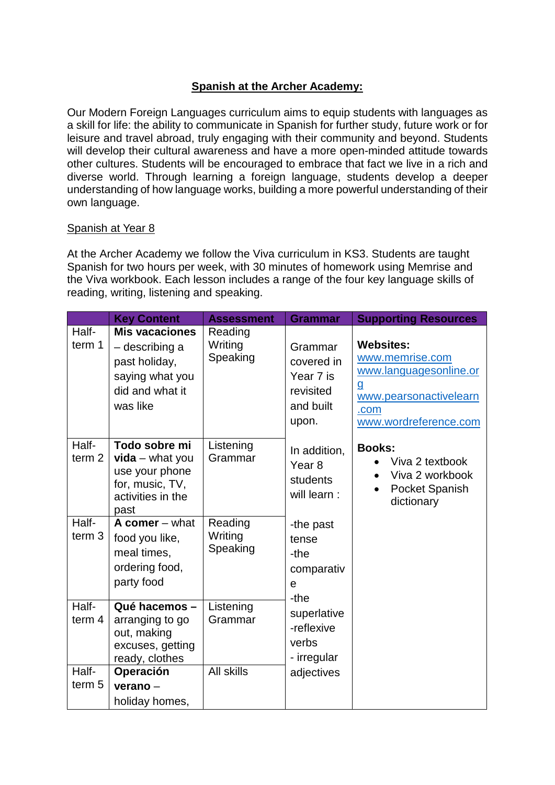# **Spanish at the Archer Academy:**

Our Modern Foreign Languages curriculum aims to equip students with languages as a skill for life: the ability to communicate in Spanish for further study, future work or for leisure and travel abroad, truly engaging with their community and beyond. Students will develop their cultural awareness and have a more open-minded attitude towards other cultures. Students will be encouraged to embrace that fact we live in a rich and diverse world. Through learning a foreign language, students develop a deeper understanding of how language works, building a more powerful understanding of their own language.

#### Spanish at Year 8

At the Archer Academy we follow the Viva curriculum in KS3. Students are taught Spanish for two hours per week, with 30 minutes of homework using Memrise and the Viva workbook. Each lesson includes a range of the four key language skills of reading, writing, listening and speaking.

|                            | <b>Key Content</b>                                                                                         | <b>Assessment</b>              | <b>Grammar</b>                                                        | <b>Supporting Resources</b>                                                                                                          |
|----------------------------|------------------------------------------------------------------------------------------------------------|--------------------------------|-----------------------------------------------------------------------|--------------------------------------------------------------------------------------------------------------------------------------|
| Half-<br>term 1            | <b>Mis vacaciones</b><br>- describing a<br>past holiday,<br>saying what you<br>did and what it<br>was like | Reading<br>Writing<br>Speaking | Grammar<br>covered in<br>Year 7 is<br>revisited<br>and built<br>upon. | <b>Websites:</b><br>www.memrise.com<br>www.languagesonline.or<br><u>g</u><br>www.pearsonactivelearn<br>.com<br>www.wordreference.com |
| Half-<br>term <sub>2</sub> | Todo sobre mi<br>$vida - what you$<br>use your phone<br>for, music, TV,<br>activities in the<br>past       | Listening<br>Grammar           | In addition,<br>Year <sub>8</sub><br>students<br>will learn :         | <b>Books:</b><br>Viva 2 textbook<br>Viva 2 workbook<br>Pocket Spanish<br>dictionary                                                  |
| Half-<br>term <sub>3</sub> | A comer $-$ what<br>food you like,<br>meal times,<br>ordering food,<br>party food                          | Reading<br>Writing<br>Speaking | -the past<br>tense<br>-the<br>comparativ<br>e<br>-the                 |                                                                                                                                      |
| Half-<br>term 4            | Qué hacemos-<br>arranging to go<br>out, making<br>excuses, getting<br>ready, clothes                       | Listening<br>Grammar           | superlative<br>-reflexive<br>verbs<br>- irregular                     |                                                                                                                                      |
| Half-<br>term <sub>5</sub> | Operación<br>$verano -$<br>holiday homes,                                                                  | All skills                     | adjectives                                                            |                                                                                                                                      |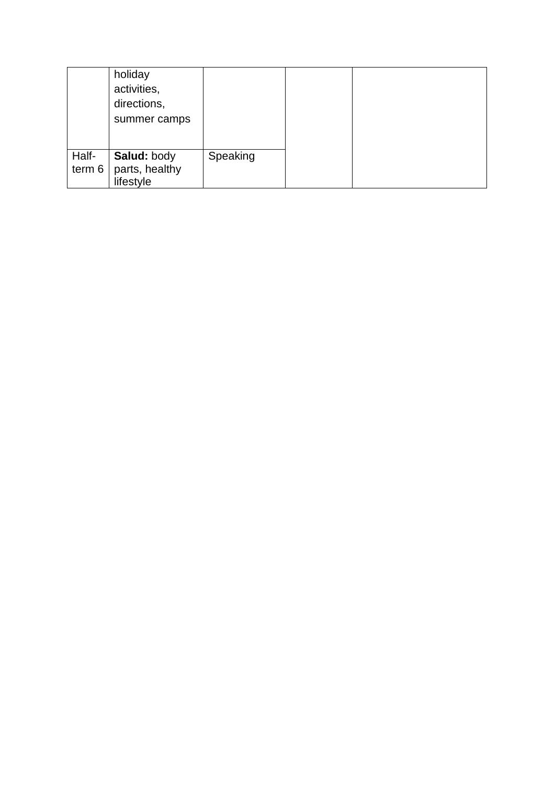|        | holiday<br>activities,<br>directions,<br>summer camps |          |
|--------|-------------------------------------------------------|----------|
| Half-  | Salud: body                                           | Speaking |
| term 6 | parts, healthy                                        |          |
|        | lifestyle                                             |          |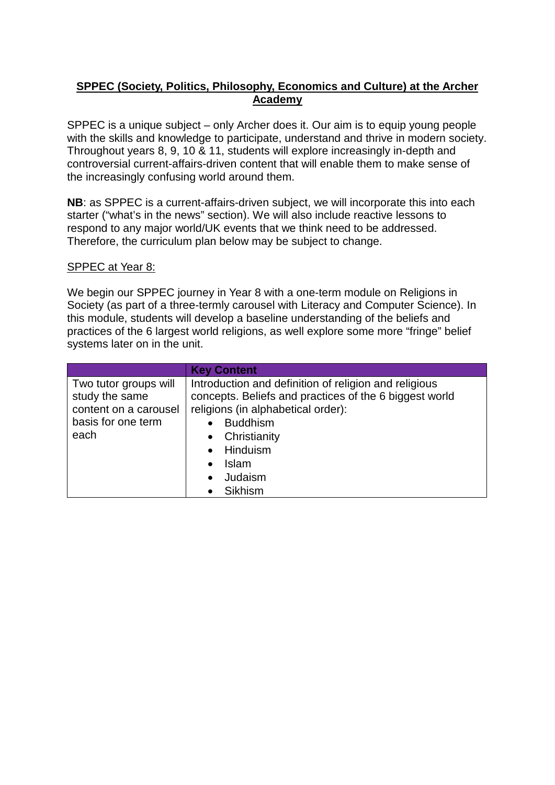## **SPPEC (Society, Politics, Philosophy, Economics and Culture) at the Archer Academy**

SPPEC is a unique subject – only Archer does it. Our aim is to equip young people with the skills and knowledge to participate, understand and thrive in modern society. Throughout years 8, 9, 10 & 11, students will explore increasingly in-depth and controversial current-affairs-driven content that will enable them to make sense of the increasingly confusing world around them.

**NB**: as SPPEC is a current-affairs-driven subject, we will incorporate this into each starter ("what's in the news" section). We will also include reactive lessons to respond to any major world/UK events that we think need to be addressed. Therefore, the curriculum plan below may be subject to change.

#### SPPEC at Year 8:

We begin our SPPEC journey in Year 8 with a one-term module on Religions in Society (as part of a three-termly carousel with Literacy and Computer Science). In this module, students will develop a baseline understanding of the beliefs and practices of the 6 largest world religions, as well explore some more "fringe" belief systems later on in the unit.

|                       | <b>Key Content</b>                                     |  |  |
|-----------------------|--------------------------------------------------------|--|--|
| Two tutor groups will | Introduction and definition of religion and religious  |  |  |
| study the same        | concepts. Beliefs and practices of the 6 biggest world |  |  |
| content on a carousel | religions (in alphabetical order):                     |  |  |
| basis for one term    | <b>Buddhism</b><br>$\bullet$                           |  |  |
| each                  | • Christianity                                         |  |  |
|                       | Hinduism<br>$\bullet$                                  |  |  |
|                       | <b>Islam</b><br>$\bullet$                              |  |  |
|                       | Judaism<br>$\bullet$                                   |  |  |
|                       | Sikhism                                                |  |  |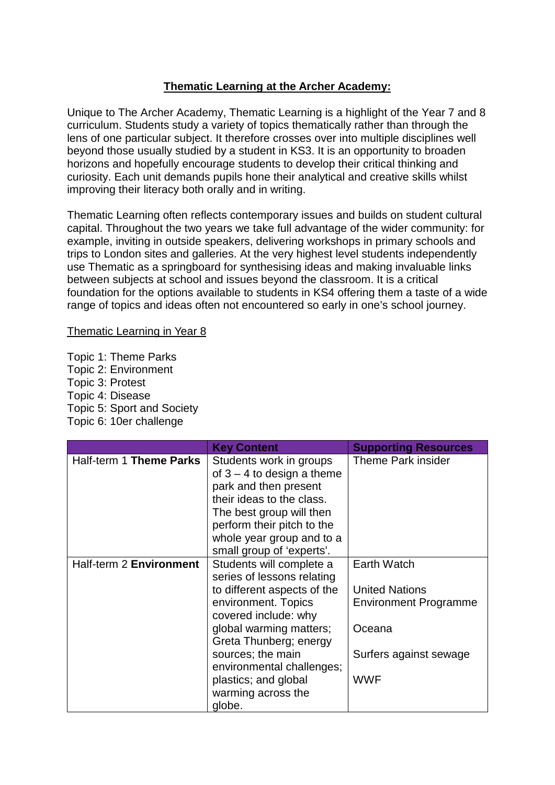## **Thematic Learning at the Archer Academy:**

Unique to The Archer Academy, Thematic Learning is a highlight of the Year 7 and 8 curriculum. Students study a variety of topics thematically rather than through the lens of one particular subject. It therefore crosses over into multiple disciplines well beyond those usually studied by a student in KS3. It is an opportunity to broaden horizons and hopefully encourage students to develop their critical thinking and curiosity. Each unit demands pupils hone their analytical and creative skills whilst improving their literacy both orally and in writing.

Thematic Learning often reflects contemporary issues and builds on student cultural capital. Throughout the two years we take full advantage of the wider community: for example, inviting in outside speakers, delivering workshops in primary schools and trips to London sites and galleries. At the very highest level students independently use Thematic as a springboard for synthesising ideas and making invaluable links between subjects at school and issues beyond the classroom. It is a critical foundation for the options available to students in KS4 offering them a taste of a wide range of topics and ideas often not encountered so early in one's school journey.

Thematic Learning in Year 8

Topic 1: Theme Parks Topic 2: Environment Topic 3: Protest Topic 4: Disease Topic 5: Sport and Society Topic 6: 10er challenge

|                         | <b>Key Content</b>                                                                                                                                                                                                                | <b>Supporting Resources</b>  |
|-------------------------|-----------------------------------------------------------------------------------------------------------------------------------------------------------------------------------------------------------------------------------|------------------------------|
| Half-term 1 Theme Parks | Students work in groups<br>of $3 - 4$ to design a theme<br>park and then present<br>their ideas to the class.<br>The best group will then<br>perform their pitch to the<br>whole year group and to a<br>small group of 'experts'. | <b>Theme Park insider</b>    |
| Half-term 2 Environment | Students will complete a                                                                                                                                                                                                          | Earth Watch                  |
|                         | series of lessons relating                                                                                                                                                                                                        | <b>United Nations</b>        |
|                         | to different aspects of the<br>environment. Topics                                                                                                                                                                                | <b>Environment Programme</b> |
|                         | covered include: why                                                                                                                                                                                                              |                              |
|                         | global warming matters;                                                                                                                                                                                                           | Oceana                       |
|                         | Greta Thunberg; energy                                                                                                                                                                                                            |                              |
|                         | sources; the main                                                                                                                                                                                                                 | Surfers against sewage       |
|                         | environmental challenges;                                                                                                                                                                                                         |                              |
|                         | plastics; and global                                                                                                                                                                                                              | <b>WWF</b>                   |
|                         | warming across the                                                                                                                                                                                                                |                              |
|                         | globe.                                                                                                                                                                                                                            |                              |